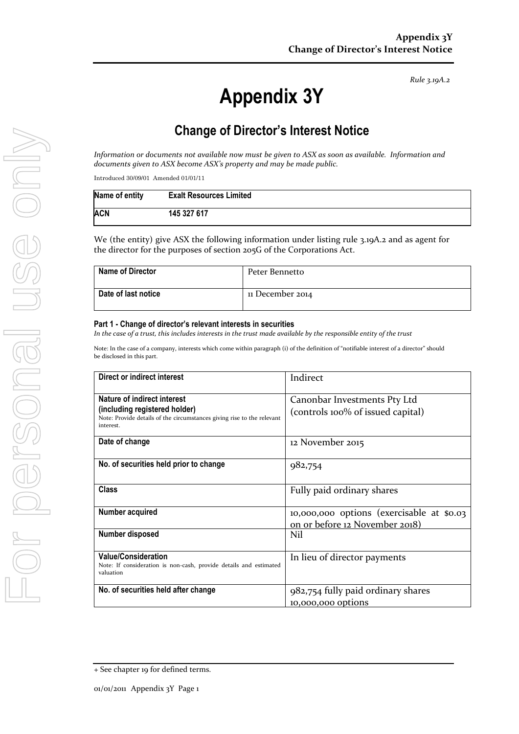*Rule 3.19A.2*

# **Appendix 3Y**

# **Change of Director's Interest Notice**

*Information or documents not available now must be given to ASX as soon as available. Information and documents given to ASX become ASX's property and may be made public.*

Introduced 30/09/01 Amended 01/01/11

| Name of entity | <b>Exalt Resources Limited</b> |
|----------------|--------------------------------|
| ACN            | 145 327 617                    |

We (the entity) give ASX the following information under listing rule 3.19A.2 and as agent for the director for the purposes of section 205G of the Corporations Act.

| <b>Name of Director</b> | Peter Bennetto   |
|-------------------------|------------------|
| Date of last notice     | 11 December 2014 |

#### **Part 1 - Change of director's relevant interests in securities**

*In the case of a trust, this includes interests in the trust made available by the responsible entity of the trust*

Note: In the case of a company, interests which come within paragraph (i) of the definition of "notifiable interest of a director" should be disclosed in this part.

| Direct or indirect interest                                                                                                                         | Indirect                                                                    |
|-----------------------------------------------------------------------------------------------------------------------------------------------------|-----------------------------------------------------------------------------|
| Nature of indirect interest<br>(including registered holder)<br>Note: Provide details of the circumstances giving rise to the relevant<br>interest. | Canonbar Investments Pty Ltd<br>(controls 100% of issued capital)           |
| Date of change                                                                                                                                      | 12 November 2015                                                            |
| No. of securities held prior to change                                                                                                              | 982,754                                                                     |
| <b>Class</b>                                                                                                                                        | Fully paid ordinary shares                                                  |
| Number acquired                                                                                                                                     | 10,000,000 options (exercisable at \$0.03<br>on or before 12 November 2018) |
| Number disposed                                                                                                                                     | Nil                                                                         |
| <b>Value/Consideration</b><br>Note: If consideration is non-cash, provide details and estimated<br>valuation                                        | In lieu of director payments                                                |
| No. of securities held after change                                                                                                                 | 982,754 fully paid ordinary shares<br><u>10,000,000 options</u>             |

<sup>+</sup> See chapter 19 for defined terms.